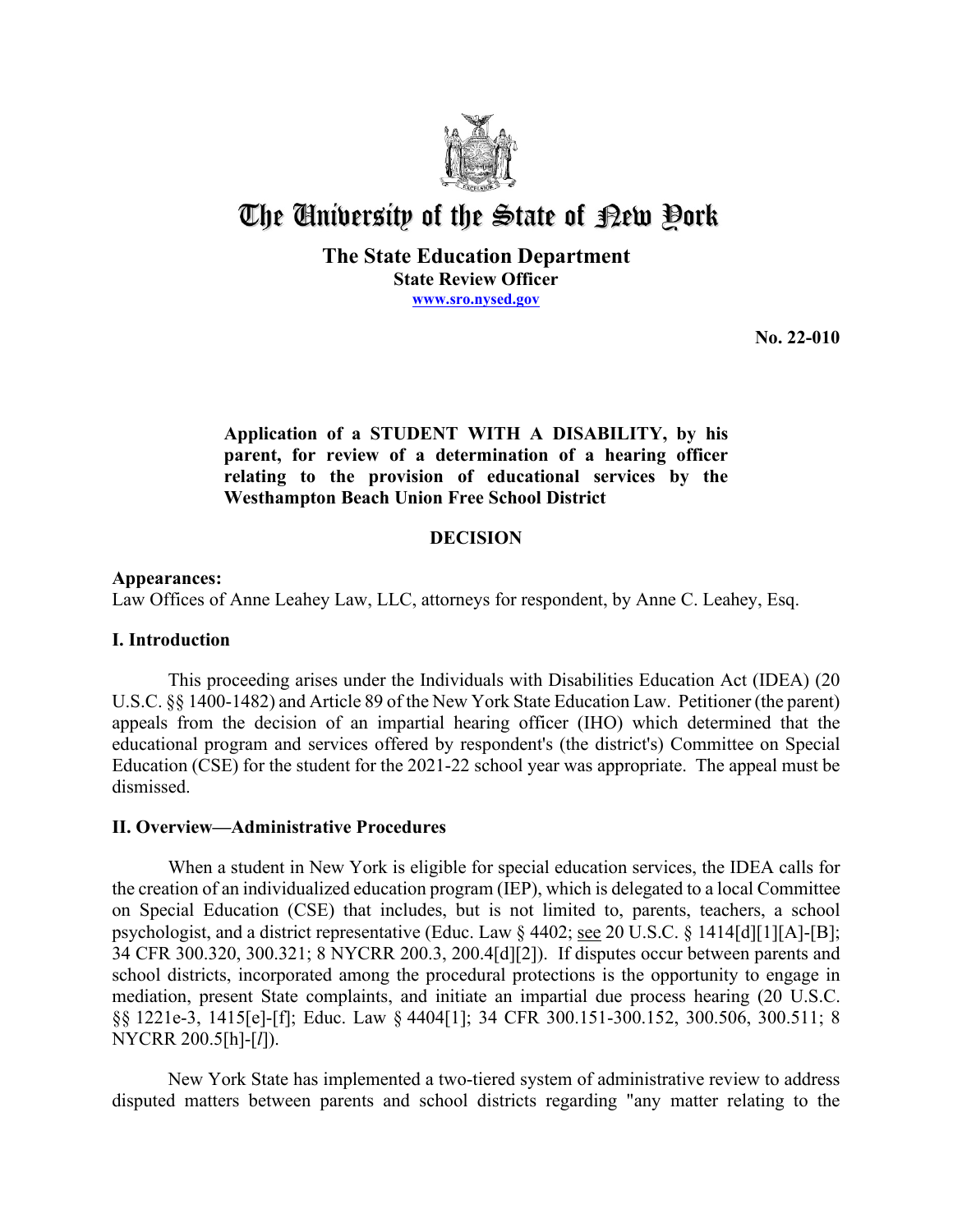

# The University of the State of  $\mathbb R$ ew Pork

## **The State Education Department**

**State Review Officer [www.sro.nysed.gov](http://www.sro.nysed.gov/)** 

**No. 22-010** 

## **Application of a STUDENT WITH A DISABILITY, by his parent, for review of a determination of a hearing officer relating to the provision of educational services by the Westhampton Beach Union Free School District**

## **DECISION**

## **Appearances:**

Law Offices of Anne Leahey Law, LLC, attorneys for respondent, by Anne C. Leahey, Esq.

## **I. Introduction**

 This proceeding arises under the Individuals with Disabilities Education Act (IDEA) (20 U.S.C. §§ 1400-1482) and Article 89 of the New York State Education Law. Petitioner (the parent) appeals from the decision of an impartial hearing officer (IHO) which determined that the educational program and services offered by respondent's (the district's) Committee on Special Education (CSE) for the student for the 2021-22 school year was appropriate. The appeal must be dismissed.

## **II. Overview—Administrative Procedures**

 the creation of an individualized education program (IEP), which is delegated to a local Committee on Special Education (CSE) that includes, but is not limited to, parents, teachers, a school When a student in New York is eligible for special education services, the IDEA calls for psychologist, and a district representative (Educ. Law § 4402; see 20 U.S.C. § 1414[d][1][A]-[B]; 34 CFR 300.320, 300.321; 8 NYCRR 200.3, 200.4[d][2]). If disputes occur between parents and school districts, incorporated among the procedural protections is the opportunity to engage in mediation, present State complaints, and initiate an impartial due process hearing (20 U.S.C. §§ 1221e-3, 1415[e]-[f]; Educ. Law § 4404[1]; 34 CFR 300.151-300.152, 300.506, 300.511; 8 NYCRR 200.5[h]-[*l*]).

New York State has implemented a two-tiered system of administrative review to address disputed matters between parents and school districts regarding "any matter relating to the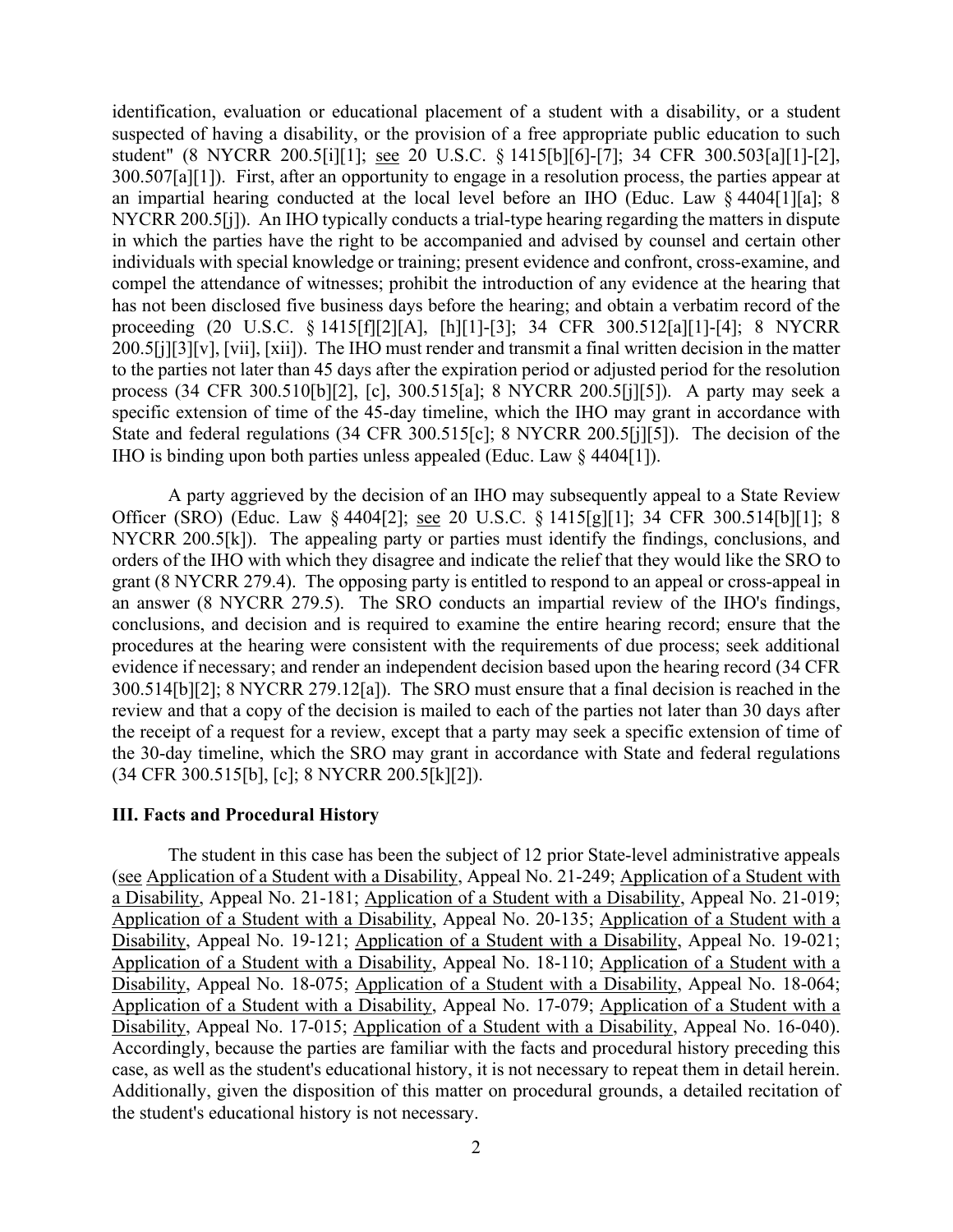300.507[a][1]). First, after an opportunity to engage in a resolution process, the parties appear at NYCRR 200.5[j]). An IHO typically conducts a trial-type hearing regarding the matters in dispute process (34 CFR 300.510[b][2], [c], 300.515[a]; 8 NYCRR 200.5[j][5]). A party may seek a IHO is binding upon both parties unless appealed (Educ. Law § 4404[1]). identification, evaluation or educational placement of a student with a disability, or a student suspected of having a disability, or the provision of a free appropriate public education to such student" (8 NYCRR 200.5[i][1]; see 20 U.S.C. § 1415[b][6]-[7]; 34 CFR 300.503[a][1]-[2], an impartial hearing conducted at the local level before an IHO (Educ. Law § 4404[1][a]; 8 in which the parties have the right to be accompanied and advised by counsel and certain other individuals with special knowledge or training; present evidence and confront, cross-examine, and compel the attendance of witnesses; prohibit the introduction of any evidence at the hearing that has not been disclosed five business days before the hearing; and obtain a verbatim record of the proceeding (20 U.S.C. § 1415[f][2][A], [h][1]-[3]; 34 CFR 300.512[a][1]-[4]; 8 NYCRR 200.5[j][3][v], [vii], [xii]). The IHO must render and transmit a final written decision in the matter to the parties not later than 45 days after the expiration period or adjusted period for the resolution specific extension of time of the 45-day timeline, which the IHO may grant in accordance with State and federal regulations (34 CFR 300.515[c]; 8 NYCRR 200.5[j][5]). The decision of the

Officer (SRO) (Educ. Law § 4404[2]; <u>see</u> 20 U.S.C. § 1415[g][1]; 34 CFR 300.514[b][1]; 8 NYCRR 200.5[k]). The appealing party or parties must identify the findings, conclusions, and 300.514[b][2]; 8 NYCRR 279.12[a]). The SRO must ensure that a final decision is reached in the review and that a copy of the decision is mailed to each of the parties not later than 30 days after A party aggrieved by the decision of an IHO may subsequently appeal to a State Review orders of the IHO with which they disagree and indicate the relief that they would like the SRO to grant (8 NYCRR 279.4). The opposing party is entitled to respond to an appeal or cross-appeal in an answer (8 NYCRR 279.5). The SRO conducts an impartial review of the IHO's findings, conclusions, and decision and is required to examine the entire hearing record; ensure that the procedures at the hearing were consistent with the requirements of due process; seek additional evidence if necessary; and render an independent decision based upon the hearing record (34 CFR the receipt of a request for a review, except that a party may seek a specific extension of time of the 30-day timeline, which the SRO may grant in accordance with State and federal regulations (34 CFR 300.515[b], [c]; 8 NYCRR 200.5[k][2]).

## **III. Facts and Procedural History**

 The student in this case has been the subject of 12 prior State-level administrative appeals Disability, Appeal No. 17-015; Application of a Student with a Disability, Appeal No. 16-040). case, as well as the student's educational history, it is not necessary to repeat them in detail herein. the student's educational history is not necessary. (see Application of a Student with a Disability, Appeal No. 21-249; Application of a Student with a Disability, Appeal No. 21-181; Application of a Student with a Disability, Appeal No. 21-019; Application of a Student with a Disability, Appeal No. 20-135; Application of a Student with a Disability, Appeal No. 19-121; Application of a Student with a Disability, Appeal No. 19-021; Application of a Student with a Disability, Appeal No. 18-110; Application of a Student with a Disability, Appeal No. 18-075; Application of a Student with a Disability, Appeal No. 18-064; Application of a Student with a Disability, Appeal No. 17-079; Application of a Student with a Accordingly, because the parties are familiar with the facts and procedural history preceding this Additionally, given the disposition of this matter on procedural grounds, a detailed recitation of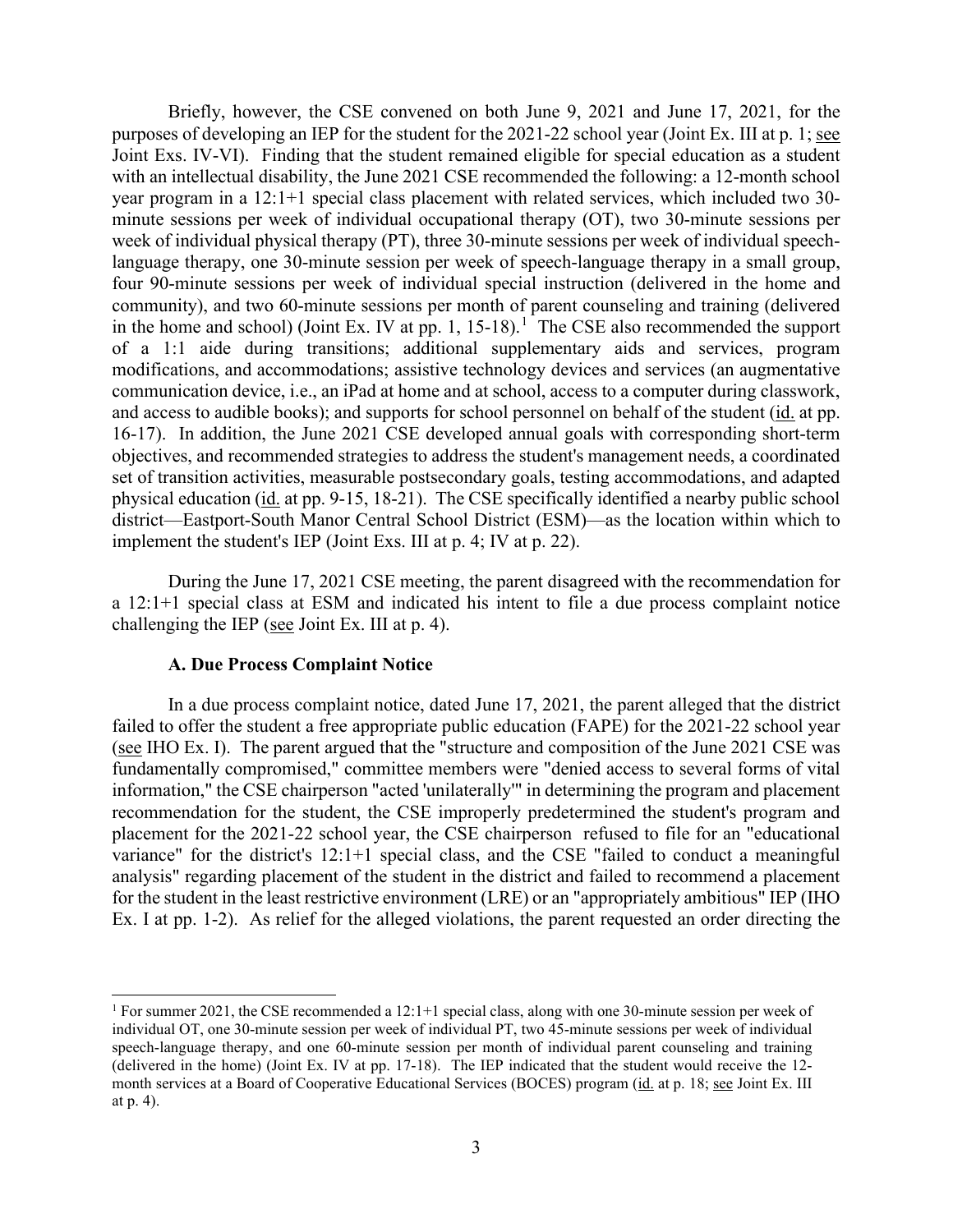purposes of developing an IEP for the student for the 2021-22 school year (Joint Ex. III at p. 1; see in the home and school) (Joint Ex. IV at pp. [1](#page-2-0), 15-18).<sup>1</sup> The CSE also recommended the support physical education (id. at pp. 9-15, 18-21). The CSE specifically identified a nearby public school implement the student's IEP (Joint Exs. III at p. 4; IV at p. 22). Briefly, however, the CSE convened on both June 9, 2021 and June 17, 2021, for the Joint Exs. IV-VI). Finding that the student remained eligible for special education as a student with an intellectual disability, the June 2021 CSE recommended the following: a 12-month school year program in a 12:1+1 special class placement with related services, which included two 30 minute sessions per week of individual occupational therapy (OT), two 30-minute sessions per week of individual physical therapy (PT), three 30-minute sessions per week of individual speechlanguage therapy, one 30-minute session per week of speech-language therapy in a small group, four 90-minute sessions per week of individual special instruction (delivered in the home and community), and two 60-minute sessions per month of parent counseling and training (delivered of a 1:1 aide during transitions; additional supplementary aids and services, program modifications, and accommodations; assistive technology devices and services (an augmentative communication device, i.e., an iPad at home and at school, access to a computer during classwork, and access to audible books); and supports for school personnel on behalf of the student (id. at pp. 16-17). In addition, the June 2021 CSE developed annual goals with corresponding short-term objectives, and recommended strategies to address the student's management needs, a coordinated set of transition activities, measurable postsecondary goals, testing accommodations, and adapted district—Eastport-South Manor Central School District (ESM)—as the location within which to

challenging the IEP ( $\frac{\text{see}}{\text{Soin}}$  Joint Ex. III at p. 4). During the June 17, 2021 CSE meeting, the parent disagreed with the recommendation for a 12:1+1 special class at ESM and indicated his intent to file a due process complaint notice

#### **A. Due Process Complaint Notice**

 fundamentally compromised," committee members were "denied access to several forms of vital information," the CSE chairperson "acted 'unilaterally'" in determining the program and placement variance" for the district's 12:1+1 special class, and the CSE "failed to conduct a meaningful analysis" regarding placement of the student in the district and failed to recommend a placement for the student in the least restrictive environment (LRE) or an "appropriately ambitious" IEP (IHO In a due process complaint notice, dated June 17, 2021, the parent alleged that the district failed to offer the student a free appropriate public education (FAPE) for the 2021-22 school year (see IHO Ex. I). The parent argued that the "structure and composition of the June 2021 CSE was recommendation for the student, the CSE improperly predetermined the student's program and placement for the 2021-22 school year, the CSE chairperson refused to file for an "educational Ex. I at pp. 1-2). As relief for the alleged violations, the parent requested an order directing the

<span id="page-2-0"></span> 1 For summer 2021, the CSE recommended a 12:1+1 special class, along with one 30-minute session per week of speech-language therapy, and one 60-minute session per month of individual parent counseling and training (delivered in the home) (Joint Ex. IV at pp. 17-18). The IEP indicated that the student would receive the 12 month services at a Board of Cooperative Educational Services (BOCES) program (id. at p. 18; see Joint Ex. III individual OT, one 30-minute session per week of individual PT, two 45-minute sessions per week of individual at p. 4).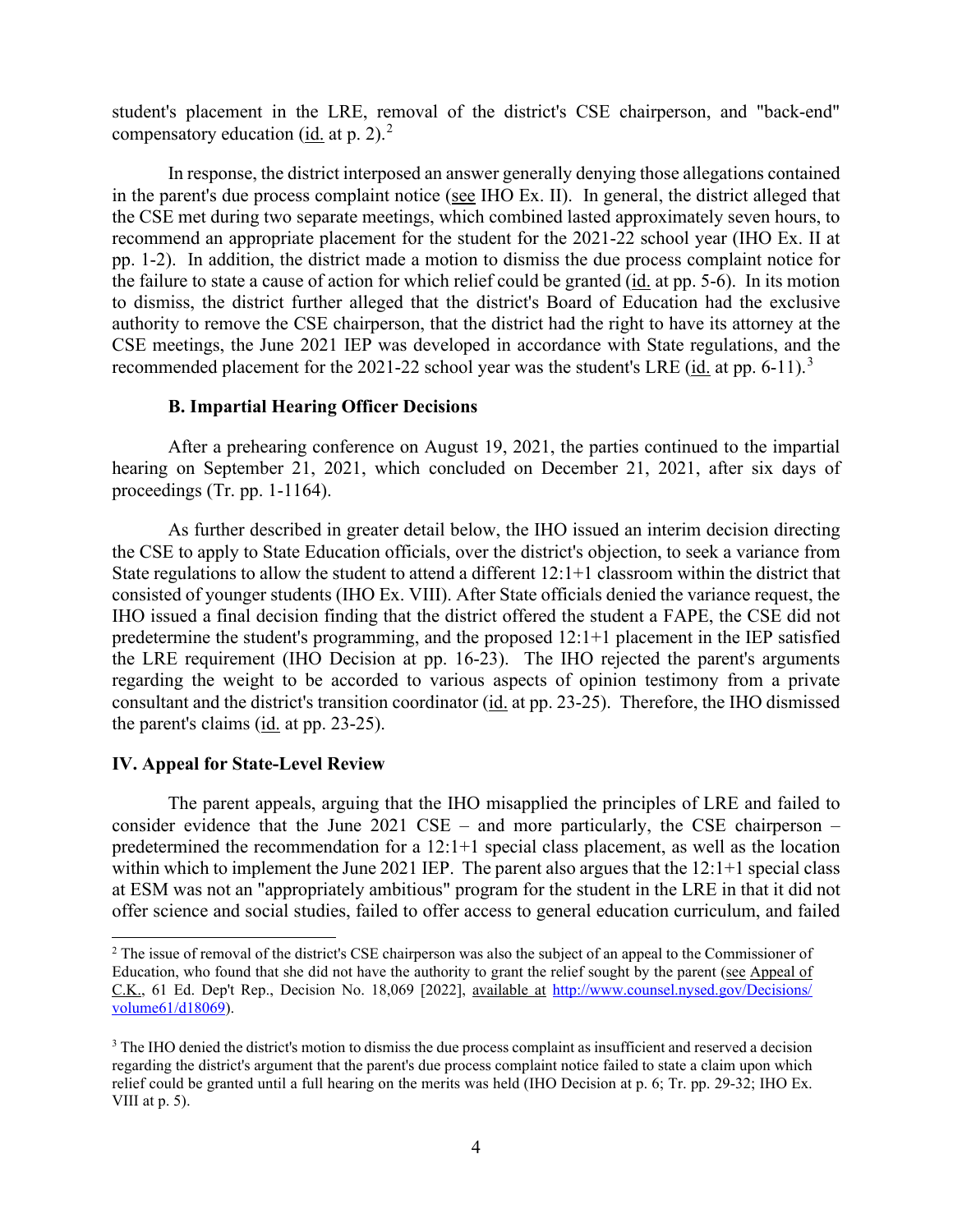compensatory education ( $\underline{\text{id}}$  at p. 2).<sup>2</sup> student's placement in the LRE, removal of the district's CSE chairperson, and "back-end"

in the parent's due process complaint notice (see IHO Ex. II). In general, the district alleged that recommend an appropriate placement for the student for the 2021-22 school year (IHO Ex. II at the failure to state a cause of action for which relief could be granted (*id.* at pp. 5-6). In its motion recommended placement for the 2021-22 school year was the student's LRE ( $id$  at pp. 6-11).<sup>3</sup> In response, the district interposed an answer generally denying those allegations contained the CSE met during two separate meetings, which combined lasted approximately seven hours, to pp. 1-2). In addition, the district made a motion to dismiss the due process complaint notice for to dismiss, the district further alleged that the district's Board of Education had the exclusive authority to remove the CSE chairperson, that the district had the right to have its attorney at the CSE meetings, the June 2021 IEP was developed in accordance with State regulations, and the

#### **B. Impartial Hearing Officer Decisions**

After a prehearing conference on August 19, 2021, the parties continued to the impartial hearing on September 21, 2021, which concluded on December 21, 2021, after six days of proceedings (Tr. pp. 1-1164).

 consisted of younger students (IHO Ex. VIII). After State officials denied the variance request, the predetermine the student's programming, and the proposed 12:1+1 placement in the IEP satisfied consultant and the district's transition coordinator (id. at pp. 23-25). Therefore, the IHO dismissed the parent's claims  $(id. at pp. 23-25)$ . As further described in greater detail below, the IHO issued an interim decision directing the CSE to apply to State Education officials, over the district's objection, to seek a variance from State regulations to allow the student to attend a different 12:1+1 classroom within the district that IHO issued a final decision finding that the district offered the student a FAPE, the CSE did not the LRE requirement (IHO Decision at pp. 16-23). The IHO rejected the parent's arguments regarding the weight to be accorded to various aspects of opinion testimony from a private

## **IV. Appeal for State-Level Review**

 offer science and social studies, failed to offer access to general education curriculum, and failed The parent appeals, arguing that the IHO misapplied the principles of LRE and failed to consider evidence that the June 2021  $CSE$  – and more particularly, the CSE chairperson – predetermined the recommendation for a 12:1+1 special class placement, as well as the location within which to implement the June 2021 IEP. The parent also argues that the 12:1+1 special class at ESM was not an "appropriately ambitious" program for the student in the LRE in that it did not

<span id="page-3-0"></span> $2$  The issue of removal of the district's CSE chairperson was also the subject of an appeal to the Commissioner of Education, who found that she did not have the authority to grant the relief sought by the parent (see Appeal of C.K., 61 Ed. Dep't Rep., Decision No. 18,069 [2022], available at [http://www.counsel.nysed.gov/Decisions/](http://www.counsel.nysed.gov/Decisions/%20volume61/d18069)  [volume61/d18069\)](http://www.counsel.nysed.gov/Decisions/%20volume61/d18069).

<span id="page-3-1"></span> $3$  The IHO denied the district's motion to dismiss the due process complaint as insufficient and reserved a decision relief could be granted until a full hearing on the merits was held (IHO Decision at p. 6; Tr. pp. 29-32; IHO Ex. regarding the district's argument that the parent's due process complaint notice failed to state a claim upon which VIII at  $p. 5$ ).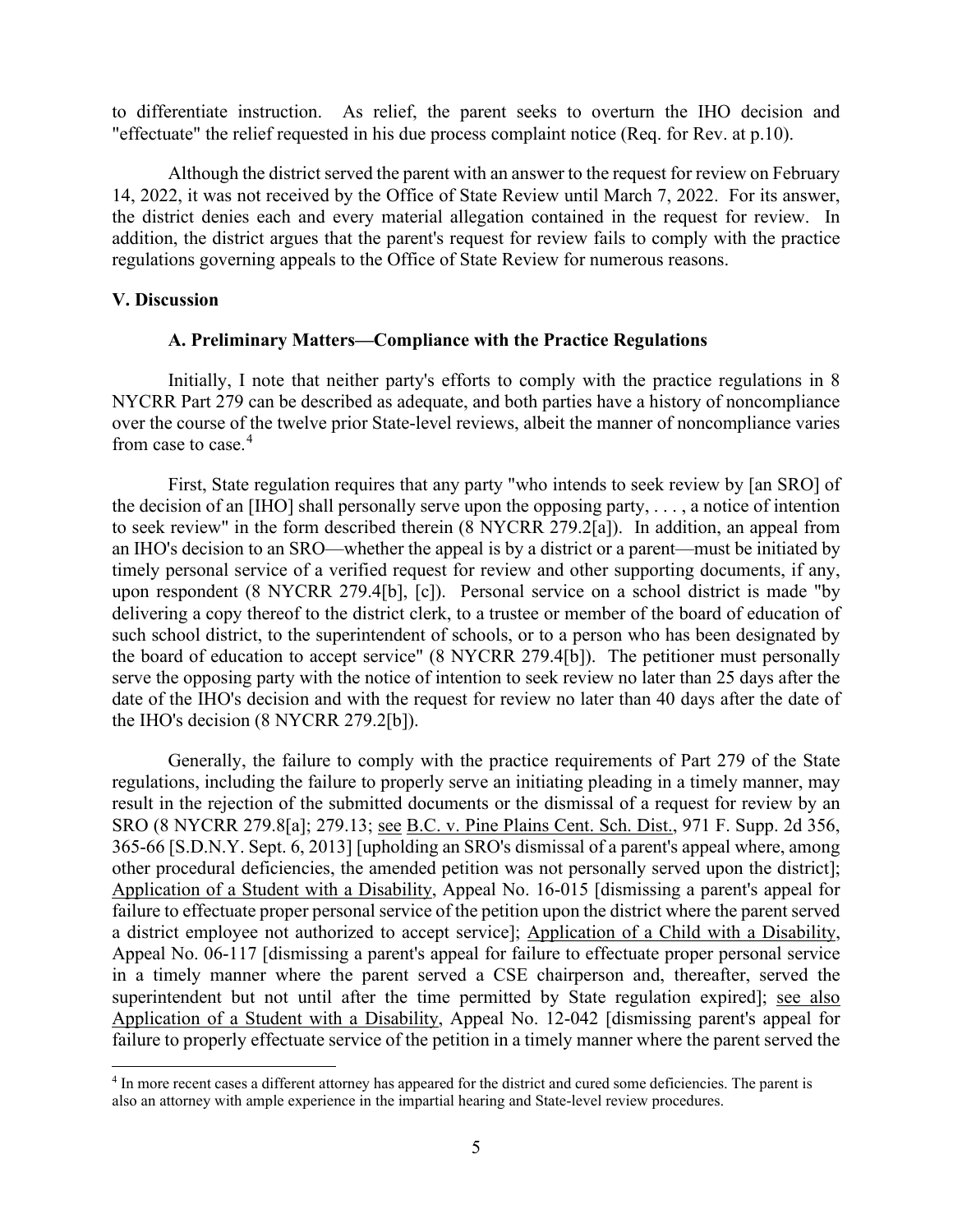to differentiate instruction. As relief, the parent seeks to overturn the IHO decision and "effectuate" the relief requested in his due process complaint notice (Req. for Rev. at p.10).

 14, 2022, it was not received by the Office of State Review until March 7, 2022. For its answer, the district denies each and every material allegation contained in the request for review. In Although the district served the parent with an answer to the request for review on February addition, the district argues that the parent's request for review fails to comply with the practice regulations governing appeals to the Office of State Review for numerous reasons.

#### **V. Discussion**

#### **A. Preliminary Matters—Compliance with the Practice Regulations**

from case to case.<sup>4</sup> Initially, I note that neither party's efforts to comply with the practice regulations in 8 NYCRR Part 279 can be described as adequate, and both parties have a history of noncompliance over the course of the twelve prior State-level reviews, albeit the manner of noncompliance varies

 the decision of an [IHO] shall personally serve upon the opposing party, . . . , a notice of intention timely personal service of a verified request for review and other supporting documents, if any, upon respondent (8 NYCRR 279.4[b], [c]). Personal service on a school district is made "by First, State regulation requires that any party "who intends to seek review by [an SRO] of to seek review" in the form described therein (8 NYCRR 279.2[a]). In addition, an appeal from an IHO's decision to an SRO—whether the appeal is by a district or a parent—must be initiated by delivering a copy thereof to the district clerk, to a trustee or member of the board of education of such school district, to the superintendent of schools, or to a person who has been designated by the board of education to accept service" (8 NYCRR 279.4[b]). The petitioner must personally serve the opposing party with the notice of intention to seek review no later than 25 days after the date of the IHO's decision and with the request for review no later than 40 days after the date of the IHO's decision (8 NYCRR 279.2[b]).

 result in the rejection of the submitted documents or the dismissal of a request for review by an Generally, the failure to comply with the practice requirements of Part 279 of the State regulations, including the failure to properly serve an initiating pleading in a timely manner, may SRO (8 NYCRR 279.8[a]; 279.13; see B.C. v. Pine Plains Cent. Sch. Dist., 971 F. Supp. 2d 356, 365-66 [S.D.N.Y. Sept. 6, 2013] [upholding an SRO's dismissal of a parent's appeal where, among other procedural deficiencies, the amended petition was not personally served upon the district]; Application of a Student with a Disability, Appeal No. 16-015 [dismissing a parent's appeal for failure to effectuate proper personal service of the petition upon the district where the parent served a district employee not authorized to accept service]; Application of a Child with a Disability, Appeal No. 06-117 [dismissing a parent's appeal for failure to effectuate proper personal service in a timely manner where the parent served a CSE chairperson and, thereafter, served the superintendent but not until after the time permitted by State regulation expired]; see also Application of a Student with a Disability, Appeal No. 12-042 [dismissing parent's appeal for failure to properly effectuate service of the petition in a timely manner where the parent served the

<span id="page-4-0"></span><sup>4</sup> In more recent cases a different attorney has appeared for the district and cured some deficiencies. The parent is also an attorney with ample experience in the impartial hearing and State-level review procedures.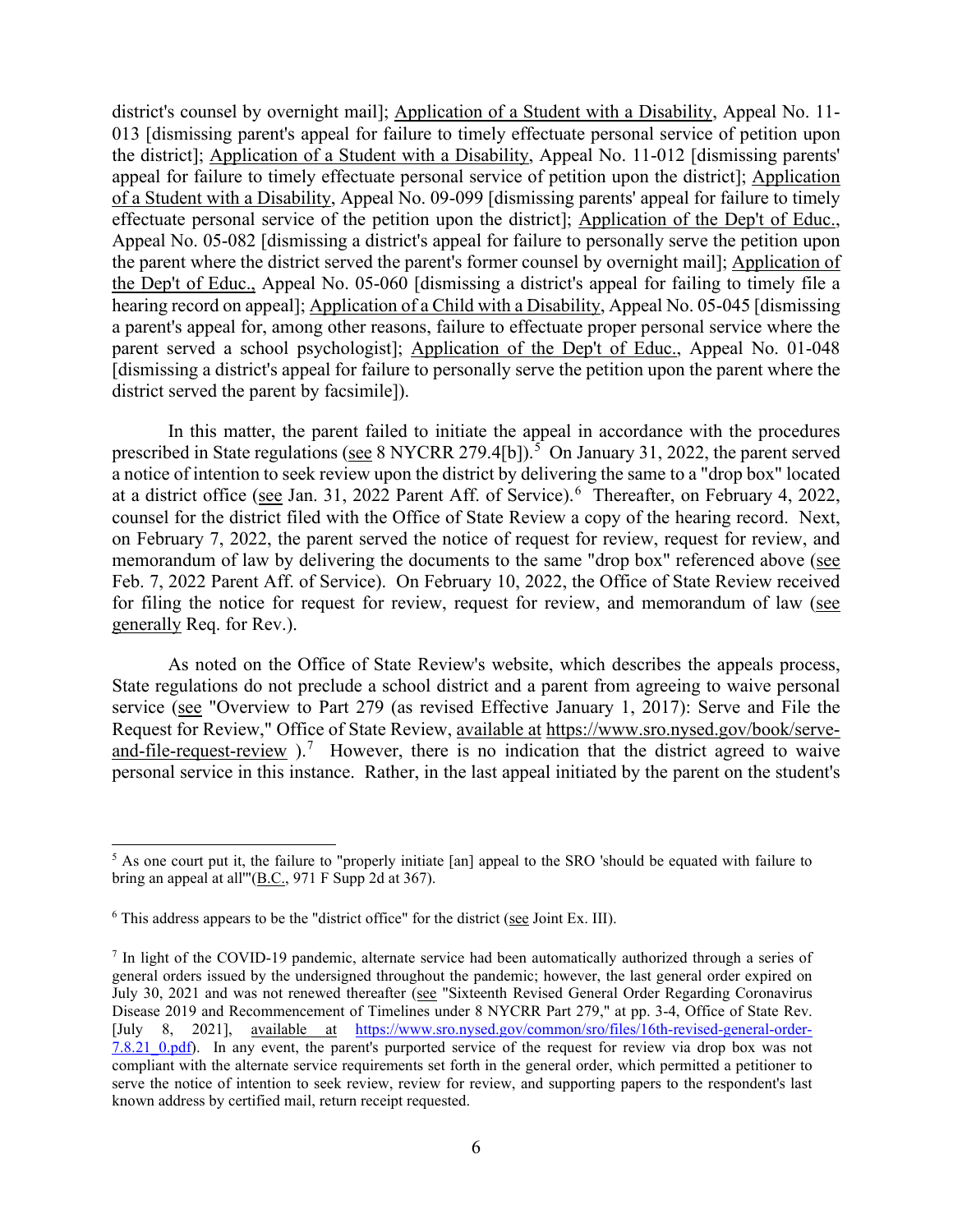the Dep't of Educ., Appeal No. 05-060 [dismissing a district's appeal for failing to timely file a district's counsel by overnight mail]; Application of a Student with a Disability, Appeal No. 11- 013 [dismissing parent's appeal for failure to timely effectuate personal service of petition upon the district]; Application of a Student with a Disability, Appeal No. 11-012 [dismissing parents' appeal for failure to timely effectuate personal service of petition upon the district]; Application of a Student with a Disability, Appeal No. 09-099 [dismissing parents' appeal for failure to timely effectuate personal service of the petition upon the district]; Application of the Dep't of Educ., Appeal No. 05-082 [dismissing a district's appeal for failure to personally serve the petition upon the parent where the district served the parent's former counsel by overnight mail]; Application of hearing record on appeal]; Application of a Child with a Disability, Appeal No. 05-045 [dismissing a parent's appeal for, among other reasons, failure to effectuate proper personal service where the parent served a school psychologist]; Application of the Dep't of Educ., Appeal No. 01-048 [dismissing a district's appeal for failure to personally serve the petition upon the parent where the district served the parent by facsimile]).

prescribed in State regulations (see 8 NYCRR 279.4[b]).<sup>5</sup> On January 31, 2022, the parent served at a district office (see Jan. 31, 2022 Parent Aff. of Service).<sup>6</sup> Thereafter, on February 4, 2022, counsel for the district filed with the Office of State Review a copy of the hearing record. Next, memorandum of law by delivering the documents to the same "drop box" referenced above (see In this matter, the parent failed to initiate the appeal in accordance with the procedures a notice of intention to seek review upon the district by delivering the same to a "drop box" located on February 7, 2022, the parent served the notice of request for review, request for review, and Feb. 7, 2022 Parent Aff. of Service). On February 10, 2022, the Office of State Review received for filing the notice for request for review, request for review, and memorandum of law (see generally Req. for Rev.).

 State regulations do not preclude a school district and a parent from agreeing to waive personal service (see "Overview to Part 279 (as revised Effective January 1, 2017): Serve and File the [and-file-request-review](https://www.sro.nysed.gov/book/serve-and-file-request-review)  $1$ .<sup>[7](#page-5-2)</sup> However, there is no indication that the district agreed to waive As noted on the Office of State Review's website, which describes the appeals process, Request for Review," Office of State Review, available at [https://www.sro.nysed.gov/book/serve](https://www.sro.nysed.gov/book/serve-and-file-request-review)personal service in this instance. Rather, in the last appeal initiated by the parent on the student's

<span id="page-5-0"></span><sup>&</sup>lt;sup>5</sup> As one court put it, the failure to "properly initiate [an] appeal to the SRO 'should be equated with failure to bring an appeal at all'"(B.C., 971 F Supp 2d at 367).

<span id="page-5-1"></span> $6$  This address appears to be the "district office" for the district (see Joint Ex. III).

<span id="page-5-2"></span>July 30, 2021 and was not renewed thereafter (see "Sixteenth Revised General Order Regarding Coronavirus Disease 2019 and Recommencement of Timelines under 8 NYCRR Part 279," at pp. 3-4, Office of State Rev. 7.8.21 0.pdf). In any event, the parent's purported service of the request for review via drop box was not 7 In light of the COVID-19 pandemic, alternate service had been automatically authorized through a series of general orders issued by the undersigned throughout the pandemic; however, the last general order expired on [July 8, 2021], available at [https://www.sro.nysed.gov/common/sro/files/16th-revised-general-order](https://www.sro.nysed.gov/common/sro/files/16th-revised-general-order-7.8.21_0.pdf)compliant with the alternate service requirements set forth in the general order, which permitted a petitioner to serve the notice of intention to seek review, review for review, and supporting papers to the respondent's last known address by certified mail, return receipt requested.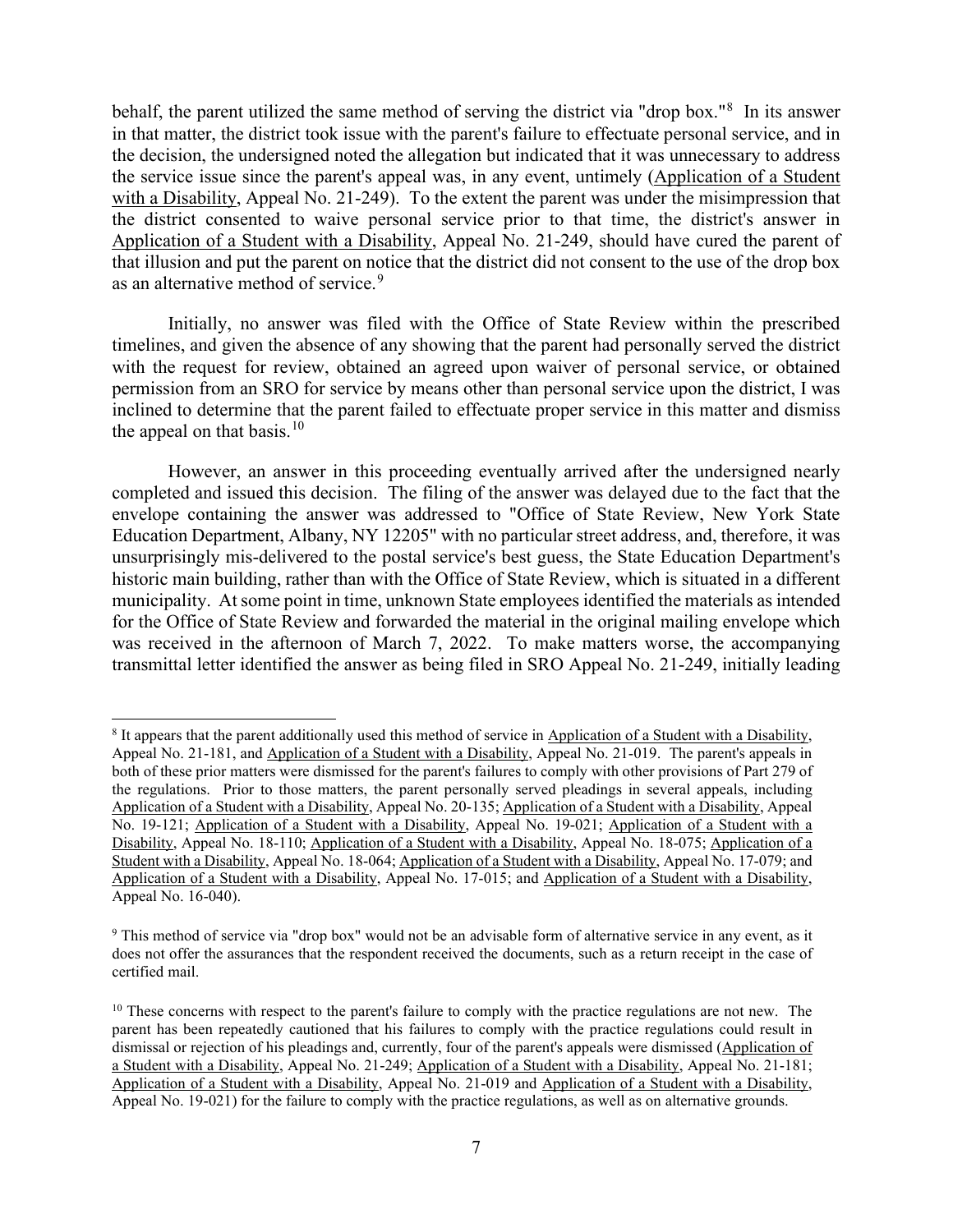behalf, the parent utilized the same method of serving the district via "drop box."<sup>[8](#page-6-0)</sup> In its answer with a Disability, Appeal No. 21-249). To the extent the parent was under the misimpression that in that matter, the district took issue with the parent's failure to effectuate personal service, and in the decision, the undersigned noted the allegation but indicated that it was unnecessary to address the service issue since the parent's appeal was, in any event, untimely (Application of a Student the district consented to waive personal service prior to that time, the district's answer in Application of a Student with a Disability, Appeal No. 21-249, should have cured the parent of that illusion and put the parent on notice that the district did not consent to the use of the drop box as an alternative method of service.<sup>9</sup>

 timelines, and given the absence of any showing that the parent had personally served the district permission from an SRO for service by means other than personal service upon the district, I was Initially, no answer was filed with the Office of State Review within the prescribed with the request for review, obtained an agreed upon waiver of personal service, or obtained inclined to determine that the parent failed to effectuate proper service in this matter and dismiss the appeal on that basis. $10$ 

 completed and issued this decision. The filing of the answer was delayed due to the fact that the was received in the afternoon of March 7, 2022. To make matters worse, the accompanying However, an answer in this proceeding eventually arrived after the undersigned nearly envelope containing the answer was addressed to "Office of State Review, New York State Education Department, Albany, NY 12205" with no particular street address, and, therefore, it was unsurprisingly mis-delivered to the postal service's best guess, the State Education Department's historic main building, rather than with the Office of State Review, which is situated in a different municipality. At some point in time, unknown State employees identified the materials as intended for the Office of State Review and forwarded the material in the original mailing envelope which transmittal letter identified the answer as being filed in SRO Appeal No. 21-249, initially leading

<span id="page-6-0"></span> the regulations. Prior to those matters, the parent personally served pleadings in several appeals, including No. 19-121; Application of a Student with a Disability, Appeal No. 19-021; Application of a Student with a Disability, Appeal No. 18-110; Application of a Student with a Disability, Appeal No. 18-075; Application of a 8 It appears that the parent additionally used this method of service in Application of a Student with a Disability, Appeal No. 21-181, and Application of a Student with a Disability, Appeal No. 21-019. The parent's appeals in both of these prior matters were dismissed for the parent's failures to comply with other provisions of Part 279 of Application of a Student with a Disability, Appeal No. 20-135; Application of a Student with a Disability, Appeal Student with a Disability, Appeal No. 18-064; Application of a Student with a Disability, Appeal No. 17-079; and Application of a Student with a Disability, Appeal No. 17-015; and Application of a Student with a Disability, Appeal No. 16-040).

<span id="page-6-1"></span><sup>&</sup>lt;sup>9</sup> This method of service via "drop box" would not be an advisable form of alternative service in any event, as it does not offer the assurances that the respondent received the documents, such as a return receipt in the case of certified mail.

<span id="page-6-2"></span> parent has been repeatedly cautioned that his failures to comply with the practice regulations could result in  $10$  These concerns with respect to the parent's failure to comply with the practice regulations are not new. The dismissal or rejection of his pleadings and, currently, four of the parent's appeals were dismissed (Application of a Student with a Disability, Appeal No. 21-249; Application of a Student with a Disability, Appeal No. 21-181; Application of a Student with a Disability, Appeal No. 21-019 and Application of a Student with a Disability, Appeal No. 19-021) for the failure to comply with the practice regulations, as well as on alternative grounds.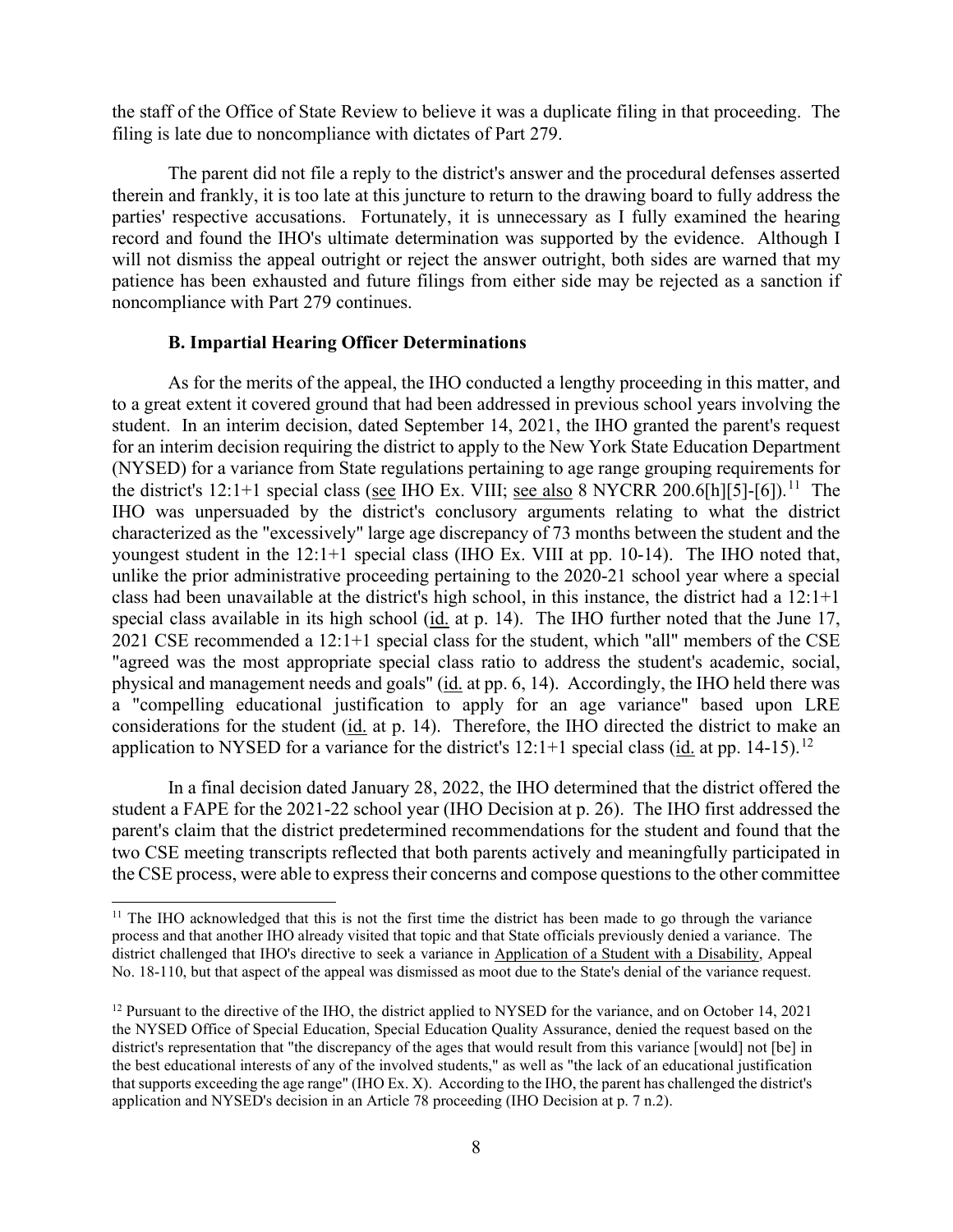the staff of the Office of State Review to believe it was a duplicate filing in that proceeding. The filing is late due to noncompliance with dictates of Part 279.

 therein and frankly, it is too late at this juncture to return to the drawing board to fully address the parties' respective accusations. Fortunately, it is unnecessary as I fully examined the hearing record and found the IHO's ultimate determination was supported by the evidence. Although I will not dismiss the appeal outright or reject the answer outright, both sides are warned that my patience has been exhausted and future filings from either side may be rejected as a sanction if The parent did not file a reply to the district's answer and the procedural defenses asserted noncompliance with Part 279 continues.

## **B. Impartial Hearing Officer Determinations**

 student. In an interim decision, dated September 14, 2021, the IHO granted the parent's request (NYSED) for a variance from State regulations pertaining to age range grouping requirements for the district's 12:1+1 special class (see IHO Ex. VIII; see also 8 NYCRR 200.6[h][5]-[6]).<sup>11</sup> The characterized as the "excessively" large age discrepancy of 73 months between the student and the youngest student in the 12:1+1 special class (IHO Ex. VIII at pp. 10-14). The IHO noted that, special class available in its high school ( $id$ , at p. 14). The IHO further noted that the June 17, As for the merits of the appeal, the IHO conducted a lengthy proceeding in this matter, and to a great extent it covered ground that had been addressed in previous school years involving the for an interim decision requiring the district to apply to the New York State Education Department IHO was unpersuaded by the district's conclusory arguments relating to what the district unlike the prior administrative proceeding pertaining to the 2020-21 school year where a special class had been unavailable at the district's high school, in this instance, the district had a 12:1+1 2021 CSE recommended a 12:1+1 special class for the student, which "all" members of the CSE "agreed was the most appropriate special class ratio to address the student's academic, social, physical and management needs and goals" (id. at pp. 6, 14). Accordingly, the IHO held there was a "compelling educational justification to apply for an age variance" based upon LRE considerations for the student (id. at p. 14). Therefore, the IHO directed the district to make an application to NYSED for a variance for the district's  $12:1+1$  special class (id. at pp. 14-15).<sup>12</sup>

In a final decision dated January 28, 2022, the IHO determined that the district offered the student a FAPE for the 2021-22 school year (IHO Decision at p. 26). The IHO first addressed the parent's claim that the district predetermined recommendations for the student and found that the two CSE meeting transcripts reflected that both parents actively and meaningfully participated in the CSE process, were able to express their concerns and compose questions to the other committee

<span id="page-7-0"></span><sup>&</sup>lt;sup>11</sup> The IHO acknowledged that this is not the first time the district has been made to go through the variance process and that another IHO already visited that topic and that State officials previously denied a variance. The district challenged that IHO's directive to seek a variance in Application of a Student with a Disability, Appeal No. 18-110, but that aspect of the appeal was dismissed as moot due to the State's denial of the variance request.

<span id="page-7-1"></span><sup>&</sup>lt;sup>12</sup> Pursuant to the directive of the IHO, the district applied to NYSED for the variance, and on October 14, 2021 that supports exceeding the age range" (IHO Ex. X). According to the IHO, the parent has challenged the district's the NYSED Office of Special Education, Special Education Quality Assurance, denied the request based on the district's representation that "the discrepancy of the ages that would result from this variance [would] not [be] in the best educational interests of any of the involved students," as well as "the lack of an educational justification application and NYSED's decision in an Article 78 proceeding (IHO Decision at p. 7 n.2).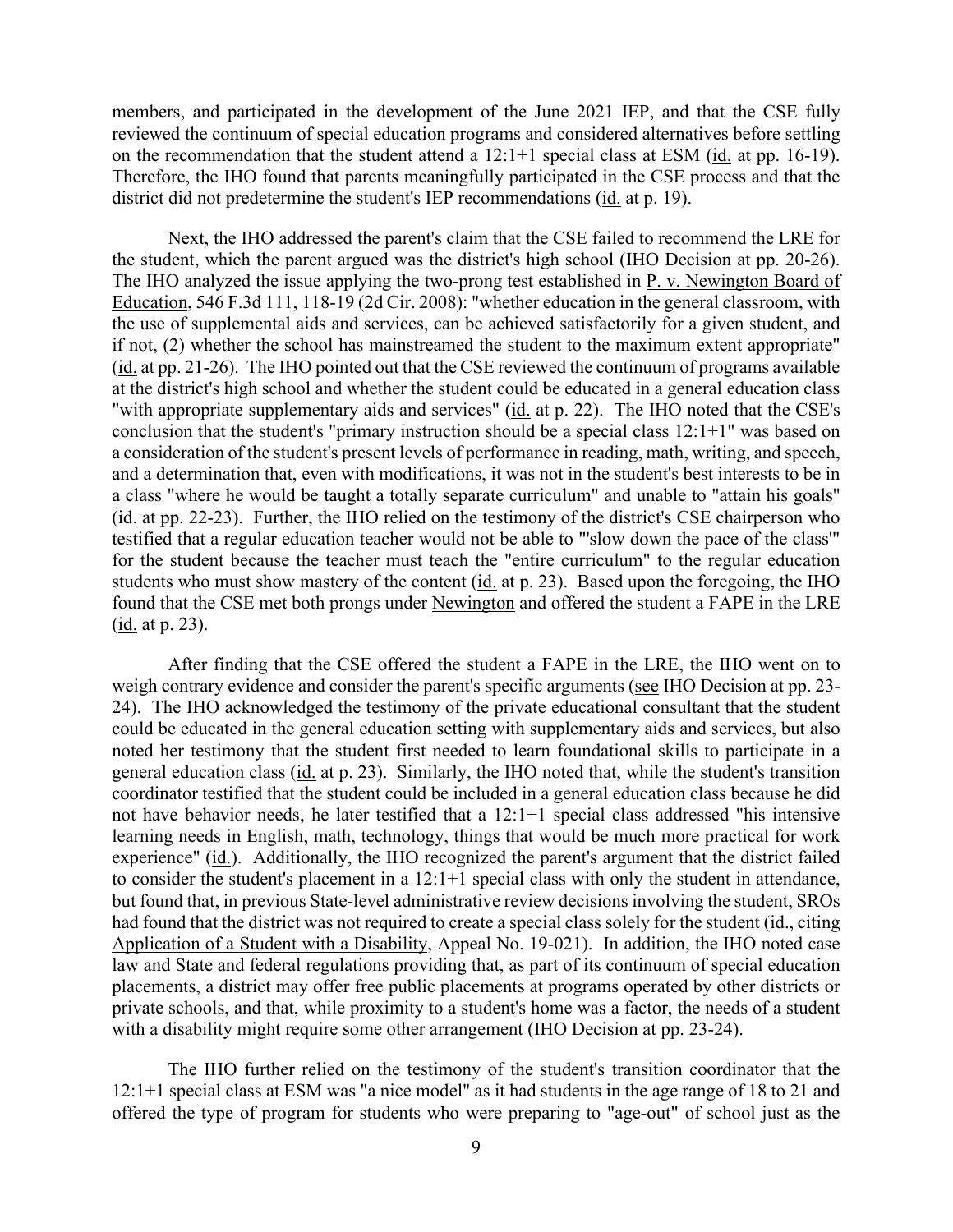members, and participated in the development of the June 2021 IEP, and that the CSE fully reviewed the continuum of special education programs and considered alternatives before settling on the recommendation that the student attend a  $12:1+1$  special class at ESM (id. at pp. 16-19). district did not predetermine the student's IEP recommendations (id. at p. 19). Therefore, the IHO found that parents meaningfully participated in the CSE process and that the

 Next, the IHO addressed the parent's claim that the CSE failed to recommend the LRE for the student, which the parent argued was the district's high school (IHO Decision at pp. 20-26). the student, which the parent argued was the district's high school (IHO Decision at pp. 20-26).<br>The IHO analyzed the issue applying the two-prong test established in <u>P. v. Newington Board of</u> conclusion that the student's "primary instruction should be a special class 12:1+1" was based on (id. at pp. 22-23). Further, the IHO relied on the testimony of the district's CSE chairperson who found that the CSE met both prongs under Newington and offered the student a FAPE in the LRE (<u>id.</u> at p. 23). Education, 546 F.3d 111, 118-19 (2d Cir. 2008): "whether education in the general classroom, with the use of supplemental aids and services, can be achieved satisfactorily for a given student, and if not, (2) whether the school has mainstreamed the student to the maximum extent appropriate" (id. at pp. 21-26). The IHO pointed out that the CSE reviewed the continuum of programs available at the district's high school and whether the student could be educated in a general education class "with appropriate supplementary aids and services" (id. at p. 22). The IHO noted that the CSE's a consideration of the student's present levels of performance in reading, math, writing, and speech, and a determination that, even with modifications, it was not in the student's best interests to be in a class "where he would be taught a totally separate curriculum" and unable to "attain his goals" testified that a regular education teacher would not be able to "'slow down the pace of the class'" for the student because the teacher must teach the "entire curriculum" to the regular education students who must show mastery of the content (id. at p. 23). Based upon the foregoing, the IHO

 24). The IHO acknowledged the testimony of the private educational consultant that the student experience" (id.). Additionally, the IHO recognized the parent's argument that the district failed private schools, and that, while proximity to a student's home was a factor, the needs of a student After finding that the CSE offered the student a FAPE in the LRE, the IHO went on to weigh contrary evidence and consider the parent's specific arguments (see IHO Decision at pp. 23could be educated in the general education setting with supplementary aids and services, but also noted her testimony that the student first needed to learn foundational skills to participate in a general education class (id. at p. 23). Similarly, the IHO noted that, while the student's transition coordinator testified that the student could be included in a general education class because he did not have behavior needs, he later testified that a 12:1+1 special class addressed "his intensive learning needs in English, math, technology, things that would be much more practical for work to consider the student's placement in a 12:1+1 special class with only the student in attendance, but found that, in previous State-level administrative review decisions involving the student, SROs had found that the district was not required to create a special class solely for the student (id., citing Application of a Student with a Disability, Appeal No. 19-021). In addition, the IHO noted case law and State and federal regulations providing that, as part of its continuum of special education placements, a district may offer free public placements at programs operated by other districts or with a disability might require some other arrangement (IHO Decision at pp. 23-24).

The IHO further relied on the testimony of the student's transition coordinator that the 12:1+1 special class at ESM was "a nice model" as it had students in the age range of 18 to 21 and offered the type of program for students who were preparing to "age-out" of school just as the